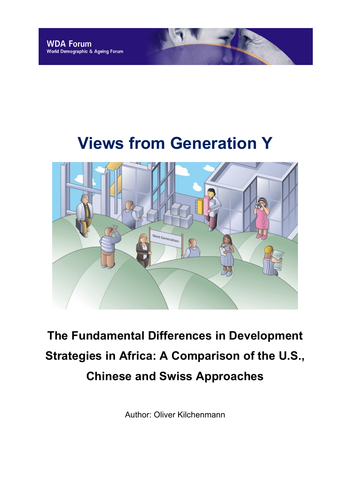# **Views from Generation Y**



# **The Fundamental Differences in Development Strategies in Africa: A Comparison of the U.S., Chinese and Swiss Approaches**

Author: Oliver Kilchenmann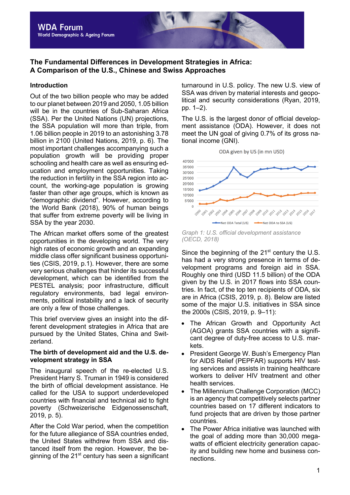# **The Fundamental Differences in Development Strategies in Africa: A Comparison of the U.S., Chinese and Swiss Approaches**

### **Introduction**

Out of the two billion people who may be added to our planet between 2019 and 2050, 1.05 billion will be in the countries of Sub-Saharan Africa (SSA). Per the United Nations (UN) projections, the SSA population will more than triple, from 1.06 billion people in 2019 to an astonishing 3.78 billion in 2100 (United Nations, 2019, p. 6). The most important challenges accompanying such a population growth will be providing proper schooling and health care as well as ensuring education and employment opportunities. Taking the reduction in fertility in the SSA region into account, the working-age population is growing faster than other age groups, which is known as "demographic dividend". However, according to the World Bank (2018), 90% of human beings that suffer from extreme poverty will be living in SSA by the year 2030.

The African market offers some of the greatest opportunities in the developing world. The very high rates of economic growth and an expanding middle class offer significant business opportunities (CSIS, 2019, p.1). However, there are some very serious challenges that hinder its successful development, which can be identified from the PESTEL analysis; poor infrastructure, difficult regulatory environments, bad legal environments, political instability and a lack of security are only a few of those challenges.

This brief overview gives an insight into the different development strategies in Africa that are pursued by the United States, China and Switzerland.

#### **The birth of development aid and the U.S. development strategy in SSA**

The inaugural speech of the re-elected U.S. President Harry S. Truman in 1949 is considered the birth of official development assistance. He called for the USA to support underdeveloped countries with financial and technical aid to fight poverty (Schweizerische Eidgenossenschaft, 2019, p. 5).

After the Cold War period, when the competition for the future allegiance of SSA countries ended, the United States withdrew from SSA and distanced itself from the region. However, the beginning of the  $21<sup>st</sup>$  century has seen a significant turnaround in U.S. policy. The new U.S. view of SSA was driven by material interests and geopolitical and security considerations (Ryan, 2019, pp. 1–2).

The U.S. is the largest donor of official development assistance (ODA). However, it does not meet the UN goal of giving 0.7% of its gross national income (GNI).



*Graph 1: U.S. official development assistance (OECD, 2018)*

Since the beginning of the  $21<sup>st</sup>$  century the U.S. has had a very strong presence in terms of development programs and foreign aid in SSA. Roughly one third (USD 11.5 billion) of the ODA given by the U.S. in 2017 flows into SSA countries. In fact, of the top ten recipients of ODA, six are in Africa (CSIS, 2019, p. 8). Below are listed some of the major U.S. initiatives in SSA since the 2000s (CSIS, 2019, p. 9–11):

- The African Growth and Opportunity Act (AGOA) grants SSA countries with a significant degree of duty-free access to U.S. markets.
- President George W. Bush's Emergency Plan for AIDS Relief (PEPFAR) supports HIV testing services and assists in training healthcare workers to deliver HIV treatment and other health services.
- The Millennium Challenge Corporation (MCC) is an agency that competitively selects partner countries based on 17 different indicators to fund projects that are driven by those partner countries.
- The Power Africa initiative was launched with the goal of adding more than 30,000 megawatts of efficient electricity generation capacity and building new home and business connections.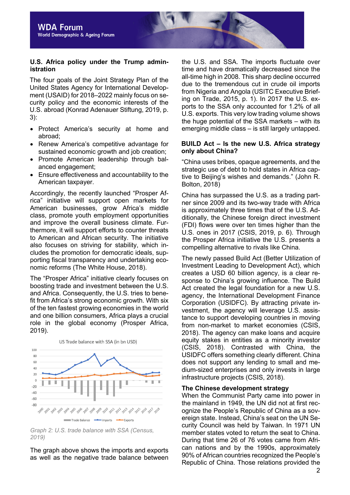#### **U.S. Africa policy under the Trump administration**

The four goals of the Joint Strategy Plan of the United States Agency for International Development (USAID) for 2018–2022 mainly focus on security policy and the economic interests of the U.S. abroad (Konrad Adenauer Stiftung, 2019, p. 3):

- Protect America's security at home and abroad;
- Renew America's competitive advantage for sustained economic growth and job creation;
- Promote American leadership through balanced engagement;
- Ensure effectiveness and accountability to the American taxpayer.

Accordingly, the recently launched "Prosper Africa" initiative will support open markets for American businesses, grow Africa's middle class, promote youth employment opportunities and improve the overall business climate. Furthermore, it will support efforts to counter threats to American and African security. The initiative also focuses on striving for stability, which includes the promotion for democratic ideals, supporting fiscal transparency and undertaking economic reforms (The White House, 2018).

The "Prosper Africa" initiative clearly focuses on boosting trade and investment between the U.S. and Africa. Consequently, the U.S. tries to benefit from Africa's strong economic growth. With six of the ten fastest growing economies in the world and one billion consumers, Africa plays a crucial role in the global economy (Prosper Africa, 2019).



*Graph 2: U.S. trade balance with SSA (Census, 2019)*

The graph above shows the imports and exports as well as the negative trade balance between the U.S. and SSA. The imports fluctuate over time and have dramatically decreased since the all-time high in 2008. This sharp decline occurred due to the tremendous cut in crude oil imports from Nigeria and Angola (USITC Executive Briefing on Trade, 2015, p. 1). In 2017 the U.S. exports to the SSA only accounted for 1.2% of all U.S. exports. This very low trading volume shows the huge potential of the SSA markets – with its emerging middle class – is still largely untapped.

#### **BUILD Act – Is the new U.S. Africa strategy only about China?**

"China uses bribes, opaque agreements, and the strategic use of debt to hold states in Africa captive to Beijing's wishes and demands." (John R. Bolton, 2018)

China has surpassed the U.S. as a trading partner since 2009 and its two-way trade with Africa is approximately three times that of the U.S. Additionally, the Chinese foreign direct investment (FDI) flows were over ten times higher than the U.S. ones in 2017 (CSIS, 2019, p. 6). Through the Prosper Africa initiative the U.S. presents a compelling alternative to rivals like China.

The newly passed Build Act (Better Utilization of Investment Leading to Development Act), which creates a USD 60 billion agency, is a clear response to China's growing influence. The Build Act created the legal foundation for a new U.S. agency, the International Development Finance Corporation (USIDFC). By attracting private investment, the agency will leverage U.S. assistance to support developing countries in moving from non-market to market economies (CSIS, 2018). The agency can make loans and acquire equity stakes in entities as a minority investor (CSIS, 2018). Contrasted with China, the USIDFC offers something clearly different. China does not support any lending to small and medium-sized enterprises and only invests in large infrastructure projects (CSIS, 2018).

### **The Chinese development strategy**

When the Communist Party came into power in the mainland in 1949, the UN did not at first recognize the People's Republic of China as a sovereign state. Instead, China's seat on the UN Security Council was held by Taiwan. In 1971 UN member states voted to return the seat to China. During that time 26 of 76 votes came from African nations and by the 1990s, approximately 90% of African countries recognized the People's Republic of China. Those relations provided the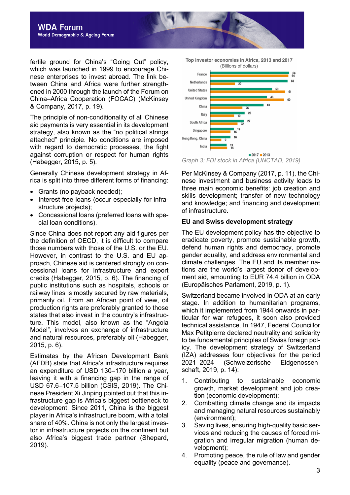fertile ground for China's "Going Out" policy, which was launched in 1999 to encourage Chinese enterprises to invest abroad. The link between China and Africa were further strengthened in 2000 through the launch of the Forum on China–Africa Cooperation (FOCAC) (McKinsey & Company, 2017, p. 19).

The principle of non-conditionality of all Chinese aid payments is very essential in its development strategy, also known as the "no political strings attached" principle. No conditions are imposed with regard to democratic processes, the fight against corruption or respect for human rights (Habegger, 2015, p. 5).

Generally Chinese development strategy in Africa is split into three different forms of financing:

- Grants (no payback needed);
- Interest-free loans (occur especially for infrastructure projects);
- Concessional loans (preferred loans with special loan conditions).

Since China does not report any aid figures per the definition of OECD, it is difficult to compare those numbers with those of the U.S. or the EU. However, in contrast to the U.S. and EU approach, Chinese aid is centered strongly on concessional loans for infrastructure and export credits (Habegger, 2015, p. 6). The financing of public institutions such as hospitals, schools or railway lines is mostly secured by raw materials, primarily oil. From an African point of view, oil production rights are preferably granted to those states that also invest in the country's infrastructure. This model, also known as the "Angola Model", involves an exchange of infrastructure and natural resources, preferably oil (Habegger, 2015, p. 6).

Estimates by the African Development Bank (AFDB) state that Africa's infrastructure requires an expenditure of USD 130–170 billion a year, leaving it with a financing gap in the range of USD 67.6–107.5 billion (CSIS, 2019). The Chinese President Xi Jinping pointed out that this infrastructure gap is Africa's biggest bottleneck to development. Since 2011, China is the biggest player in Africa's infrastructure boom, with a total share of 40%. China is not only the largest investor in infrastructure projects on the continent but also Africa's biggest trade partner (Shepard, 2019).



*Graph 3: FDI stock in Africa (UNCTAD, 2019)*

Per McKinsey & Company (2017, p. 11), the Chinese investment and business activity leads to three main economic benefits: job creation and skills development; transfer of new technology and knowledge; and financing and development of infrastructure.

### **EU and Swiss development strategy**

The EU development policy has the objective to eradicate poverty, promote sustainable growth, defend human rights and democracy, promote gender equality, and address environmental and climate challenges. The EU and its member nations are the world's largest donor of development aid, amounting to EUR 74.4 billion in ODA (Europäisches Parlament, 2019, p. 1).

Switzerland became involved in ODA at an early stage. In addition to humanitarian programs, which it implemented from 1944 onwards in particular for war refugees, it soon also provided technical assistance. In 1947, Federal Councillor Max Petitpierre declared neutrality and solidarity to be fundamental principles of Swiss foreign policy. The development strategy of Switzerland (IZA) addresses four objectives for the period 2021–2024 (Schweizerische Eidgenossenschaft, 2019, p. 14):

- 1. Contributing to sustainable economic growth, market development and job creation (economic development);
- 2. Combatting climate change and its impacts and managing natural resources sustainably (environment);
- 3. Saving lives, ensuring high-quality basic services and reducing the causes of forced migration and irregular migration (human development);
- 4. Promoting peace, the rule of law and gender equality (peace and governance).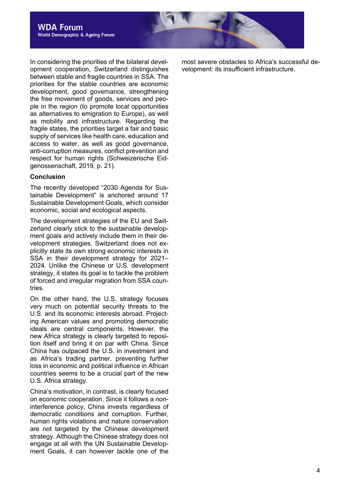In considering the priorities of the bilateral development cooperation, Switzerland distinguishes between stable and fragile countries in SSA. The priorities for the stable countries are economic development, good governance, strengthening the free movement of goods, services and people in the region (to promote local opportunities as alternatives to emigration to Europe), as well as mobility and infrastructure. Regarding the fragile states, the priorities target a fair and basic supply of services like health care, education and access to water, as well as good governance, anti-corruption measures, conflict prevention and respect for human rights (Schweizerische Eidgenossenschaft, 2019, p. 21).

#### **Conclusion**

The recently developed "2030 Agenda for Sustainable Development" is anchored around 17 Sustainable Development Goals, which consider economic, social and ecological aspects.

The development strategies of the EU and Switzerland clearly stick to the sustainable development goals and actively include them in their development strategies. Switzerland does not explicitly state its own strong economic interests in SSA in their development strategy for 2021– 2024. Unlike the Chinese or U.S. development strategy, it states its goal is to tackle the problem of forced and irregular migration from SSA countries.

On the other hand, the U.S. strategy focuses very much on potential security threats to the U.S. and its economic interests abroad. Projecting American values and promoting democratic ideals are central components. However, the new Africa strategy is clearly targeted to reposition itself and bring it on par with China. Since China has outpaced the U.S. in investment and as Africa's trading partner, preventing further loss in economic and political influence in African countries seems to be a crucial part of the new U.S. Africa strategy.

China's motivation, in contrast, is clearly focused on economic cooperation. Since it follows a noninterference policy, China invests regardless of democratic conditions and corruption. Further, human rights violations and nature conservation are not targeted by the Chinese development strategy. Although the Chinese strategy does not engage at all with the UN Sustainable Development Goals, it can however tackle one of the

most severe obstacles to Africa's successful development: its insufficient infrastructure.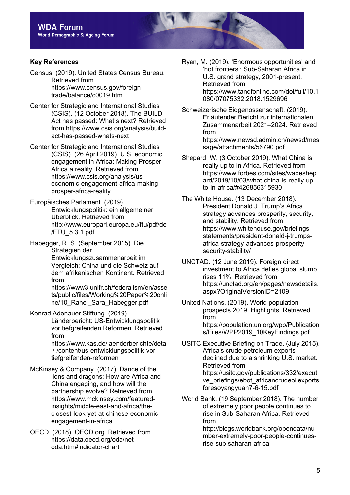# **Key References**

Census. (2019). United States Census Bureau. Retrieved from https://www.census.gov/foreigntrade/balance/c0019.html

Center for Strategic and International Studies (CSIS). (12 October 2018). The BUILD Act has passed: What's next? Retrieved from https://www.csis.org/analysis/buildact-has-passed-whats-next

Center for Strategic and International Studies (CSIS). (26 April 2019). U.S. economic engagement in Africa: Making Prosper Africa a reality. Retrieved from https://www.csis.org/analysis/useconomic-engagement-africa-makingprosper-africa-reality

Europäisches Parlament. (2019). Entwicklungspolitik: ein allgemeiner Überblick. Retrieved from http://www.europarl.europa.eu/ftu/pdf/de /FTU\_5.3.1.pdf

Habegger, R. S. (September 2015). Die Strategien der Entwicklungszusammenarbeit im Vergleich: China und die Schweiz auf dem afrikanischen Kontinent. Retrieved from

https://www3.unifr.ch/federalism/en/asse ts/public/files/Working%20Paper%20onli ne/10\_Rahel\_Sara\_Habegger.pdf

Konrad Adenauer Stiftung. (2019). Länderbericht: US-Entwicklungspolitik vor tiefgreifenden Reformen. Retrieved from https://www.kas.de/laenderberichte/detai

l/-/content/us-entwicklungspolitik-vortiefgreifenden-reformen

- McKinsey & Company. (2017). Dance of the lions and dragons: How are Africa and China engaging, and how will the partnership evolve? Retrieved from https://www.mckinsey.com/featuredinsights/middle-east-and-africa/theclosest-look-yet-at-chinese-economicengagement-in-africa
- OECD. (2018). OECD.org. Retrieved from https://data.oecd.org/oda/netoda.htm#indicator-chart

Ryan, M. (2019). 'Enormous opportunities' and 'hot frontiers': Sub-Saharan Africa in U.S. grand strategy, 2001-present. Retrieved from https://www.tandfonline.com/doi/full/10.1 080/07075332.2018.1529696

Schweizerische Eidgenossenschaft. (2019). Erläutender Bericht zur internationalen Zusammenarbeit 2021–2024. Retrieved from https://www.newsd.admin.ch/newsd/mes sage/attachments/56790.pdf

Shepard, W. (3 October 2019). What China is really up to in Africa. Retrieved from https://www.forbes.com/sites/wadeshep ard/2019/10/03/what-china-is-really-upto-in-africa/#426856315930

The White House. (13 December 2018). President Donald J. Trump's Africa strategy advances prosperity, security, and stability. Retrieved from https://www.whitehouse.gov/briefingsstatements/president-donald-j-trumpsafrica-strategy-advances-prosperitysecurity-stability/

UNCTAD. (12 June 2019). Foreign direct investment to Africa defies global slump, rises 11%. Retrieved from https://unctad.org/en/pages/newsdetails. aspx?OriginalVersionID=2109

United Nations. (2019). World population prospects 2019: Highlights. Retrieved from https://population.un.org/wpp/Publication s/Files/WPP2019\_10KeyFindings.pdf

USITC Executive Briefing on Trade. (July 2015). Africa's crude petroleum exports declined due to a shrinking U.S. market. Retrieved from https://usitc.gov/publications/332/executi ve briefings/ebot africancrudeoilexports foresoyangyuan7-6-15.pdf

World Bank. (19 September 2018). The number of extremely poor people continues to rise in Sub-Saharan Africa. Retrieved from

http://blogs.worldbank.org/opendata/nu mber-extremely-poor-people-continuesrise-sub-saharan-africa